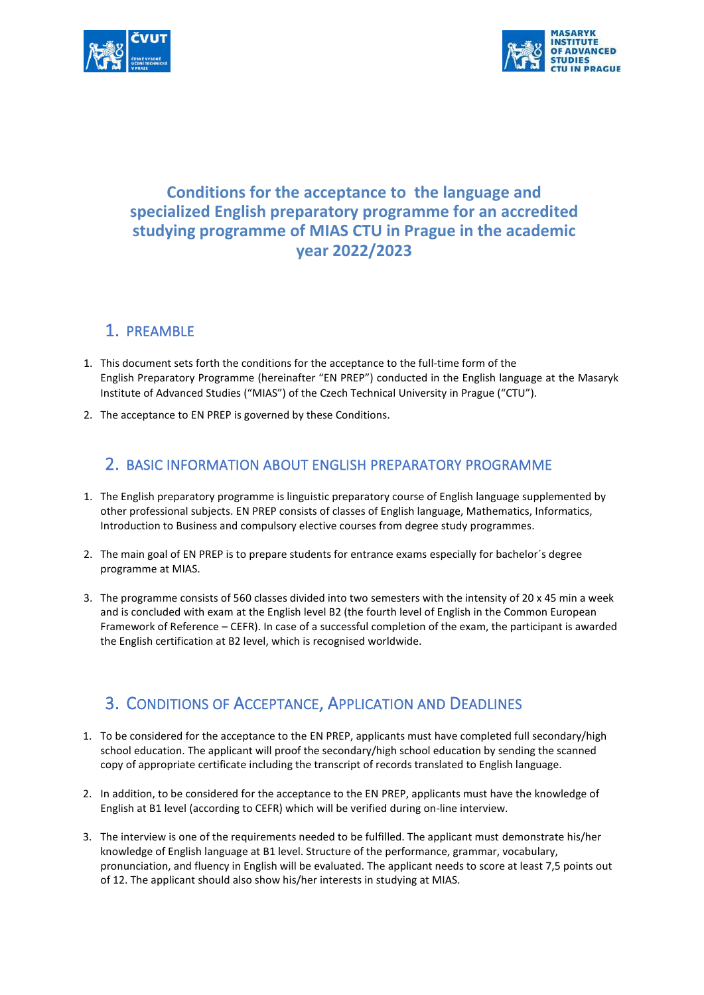



## **Conditions for the acceptance to the language and specialized English preparatory programme for an accredited studying programme of MIAS CTU in Prague in the academic year 2022/2023**

#### 1. PREAMBLE

- 1. This document sets forth the conditions for the acceptance to the full-time form of the English Preparatory Programme (hereinafter "EN PREP") conducted in the English language at the Masaryk Institute of Advanced Studies ("MIAS") of the Czech Technical University in Prague ("CTU").
- 2. The acceptance to EN PREP is governed by these Conditions.

#### 2. BASIC INFORMATION ABOUT ENGLISH PREPARATORY PROGRAMME

- 1. The English preparatory programme is linguistic preparatory course of English language supplemented by other professional subjects. EN PREP consists of classes of English language, Mathematics, Informatics, Introduction to Business and compulsory elective courses from degree study programmes.
- 2. The main goal of EN PREP is to prepare students for entrance exams especially for bachelor´s degree programme at MIAS.
- 3. The programme consists of 560 classes divided into two semesters with the intensity of 20 x 45 min a week and is concluded with exam at the English level B2 (the fourth level of English in the Common European Framework of Reference – CEFR). In case of a successful completion of the exam, the participant is awarded the English certification at B2 level, which is recognised worldwide.

## 3. CONDITIONS OF ACCEPTANCE, APPLICATION AND DEADLINES

- 1. To be considered for the acceptance to the EN PREP, applicants must have completed full secondary/high school education. The applicant will proof the secondary/high school education by sending the scanned copy of appropriate certificate including the transcript of records translated to English language.
- 2. In addition, to be considered for the acceptance to the EN PREP, applicants must have the knowledge of English at B1 level (according to CEFR) which will be verified during on-line interview.
- 3. The interview is one of the requirements needed to be fulfilled. The applicant must demonstrate his/her knowledge of English language at B1 level. Structure of the performance, grammar, vocabulary, pronunciation, and fluency in English will be evaluated. The applicant needs to score at least 7,5 points out of 12. The applicant should also show his/her interests in studying at MIAS.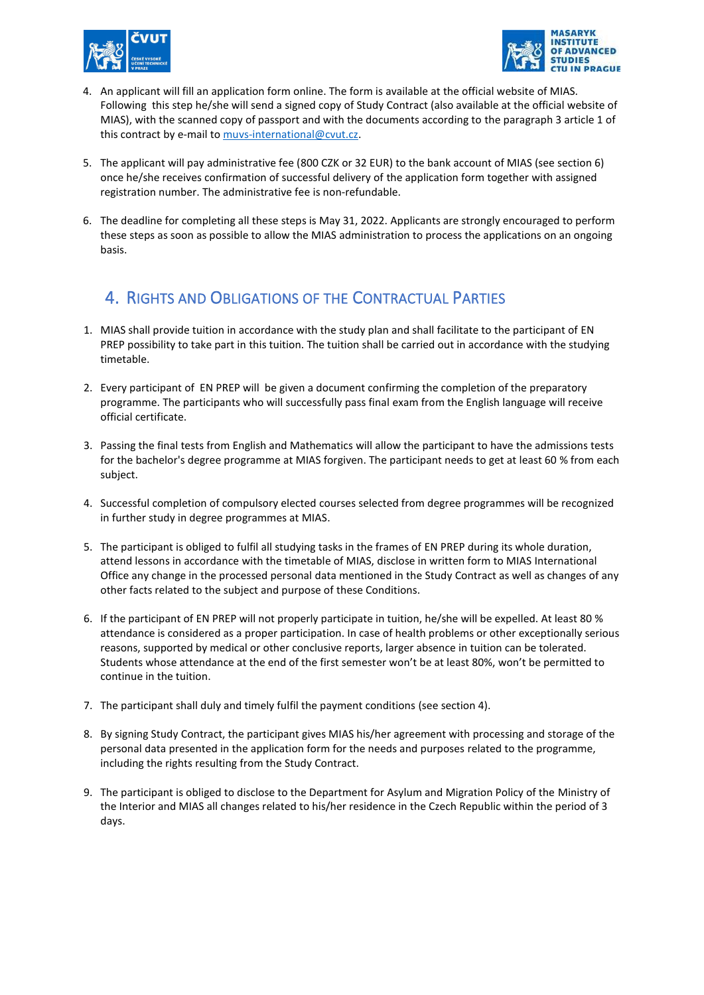



- 4. An applicant will fill an application form online. The form is available at the official website of MIAS. Following this step he/she will send a signed copy of Study Contract (also available at the official website of MIAS), with the scanned copy of passport and with the documents according to the paragraph 3 article 1 of this contract by e-mail to muvs-international@cvut.cz.
- 5. The applicant will pay administrative fee (800 CZK or 32 EUR) to the bank account of MIAS (see section 6) once he/she receives confirmation of successful delivery of the application form together with assigned registration number. The administrative fee is non-refundable.
- 6. The deadline for completing all these steps is May 31, 2022. Applicants are strongly encouraged to perform these steps as soon as possible to allow the MIAS administration to process the applications on an ongoing basis.

### 4. RIGHTS AND OBLIGATIONS OF THE CONTRACTUAL PARTIES

- 1. MIAS shall provide tuition in accordance with the study plan and shall facilitate to the participant of EN PREP possibility to take part in this tuition. The tuition shall be carried out in accordance with the studying timetable.
- 2. Every participant of EN PREP will be given a document confirming the completion of the preparatory programme. The participants who will successfully pass final exam from the English language will receive official certificate.
- 3. Passing the final tests from English and Mathematics will allow the participant to have the admissions tests for the bachelor's degree programme at MIAS forgiven. The participant needs to get at least 60 % from each subject.
- 4. Successful completion of compulsory elected courses selected from degree programmes will be recognized in further study in degree programmes at MIAS.
- 5. The participant is obliged to fulfil all studying tasks in the frames of EN PREP during its whole duration, attend lessons in accordance with the timetable of MIAS, disclose in written form to MIAS International Office any change in the processed personal data mentioned in the Study Contract as well as changes of any other facts related to the subject and purpose of these Conditions.
- 6. If the participant of EN PREP will not properly participate in tuition, he/she will be expelled. At least 80 % attendance is considered as a proper participation. In case of health problems or other exceptionally serious reasons, supported by medical or other conclusive reports, larger absence in tuition can be tolerated. Students whose attendance at the end of the first semester won't be at least 80%, won't be permitted to continue in the tuition.
- 7. The participant shall duly and timely fulfil the payment conditions (see section 4).
- 8. By signing Study Contract, the participant gives MIAS his/her agreement with processing and storage of the personal data presented in the application form for the needs and purposes related to the programme, including the rights resulting from the Study Contract.
- 9. The participant is obliged to disclose to the Department for Asylum and Migration Policy of the Ministry of the Interior and MIAS all changes related to his/her residence in the Czech Republic within the period of 3 days.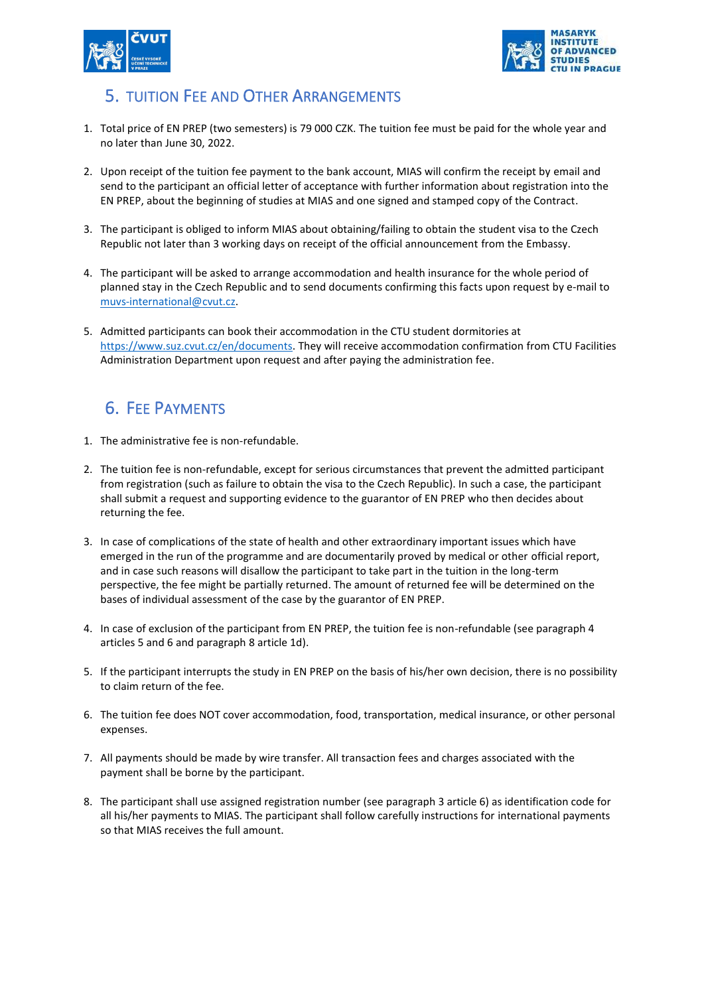



# 5. TUITION FEE AND OTHER ARRANGEMENTS

- 1. Total price of EN PREP (two semesters) is 79 000 CZK. The tuition fee must be paid for the whole year and no later than June 30, 2022.
- 2. Upon receipt of the tuition fee payment to the bank account, MIAS will confirm the receipt by email and send to the participant an official letter of acceptance with further information about registration into the EN PREP, about the beginning of studies at MIAS and one signed and stamped copy of the Contract.
- 3. The participant is obliged to inform MIAS about obtaining/failing to obtain the student visa to the Czech Republic not later than 3 working days on receipt of the official announcement from the Embassy.
- 4. The participant will be asked to arrange accommodation and health insurance for the whole period of planned stay in the Czech Republic and to send documents confirming this facts upon request by e-mail to [muvs-international@cvut.cz.](mailto:muvs-international@cvut.cz)
- 5. Admitted participants can book their accommodation in the CTU student dormitories at [https://www.suz.cvut.cz/en/documents.](https://www.suz.cvut.cz/en/documents) They will receive accommodation confirmation from CTU Facilities Administration Department upon request and after paying the administration fee.

# 6. FEE PAYMENTS

- 1. The administrative fee is non-refundable.
- 2. The tuition fee is non-refundable, except for serious circumstances that prevent the admitted participant from registration (such as failure to obtain the visa to the Czech Republic). In such a case, the participant shall submit a request and supporting evidence to the guarantor of EN PREP who then decides about returning the fee.
- 3. In case of complications of the state of health and other extraordinary important issues which have emerged in the run of the programme and are documentarily proved by medical or other official report, and in case such reasons will disallow the participant to take part in the tuition in the long-term perspective, the fee might be partially returned. The amount of returned fee will be determined on the bases of individual assessment of the case by the guarantor of EN PREP.
- 4. In case of exclusion of the participant from EN PREP, the tuition fee is non-refundable (see paragraph 4 articles 5 and 6 and paragraph 8 article 1d).
- 5. If the participant interrupts the study in EN PREP on the basis of his/her own decision, there is no possibility to claim return of the fee.
- 6. The tuition fee does NOT cover accommodation, food, transportation, medical insurance, or other personal expenses.
- 7. All payments should be made by wire transfer. All transaction fees and charges associated with the payment shall be borne by the participant.
- 8. The participant shall use assigned registration number (see paragraph 3 article 6) as identification code for all his/her payments to MIAS. The participant shall follow carefully instructions for international payments so that MIAS receives the full amount.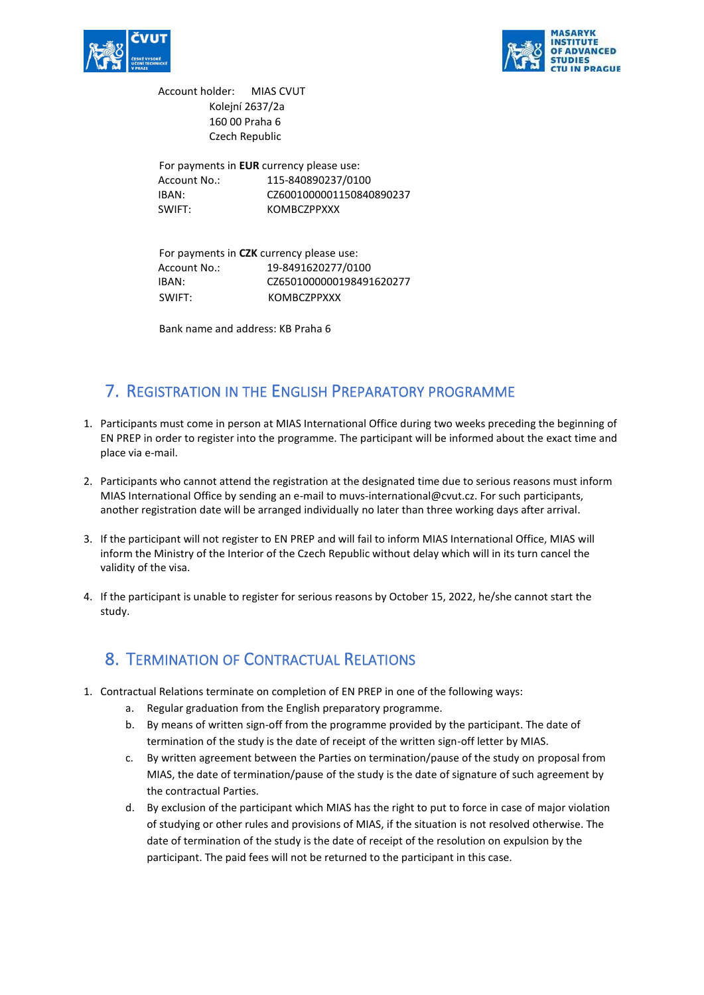



Account holder: MIAS CVUT Kolejní 2637/2a 160 00 Praha 6 Czech Republic

For payments in **EUR** currency please use: Account No.: 115-840890237/0100 IBAN: CZ6001000001150840890237 SWIFT: KOMBCZPPXXX

For payments in **CZK** currency please use: Account No.: 19-8491620277/0100 IBAN: CZ6501000000198491620277 SWIFT: KOMBCZPPXXX

Bank name and address: KB Praha 6

## 7. REGISTRATION IN THE ENGLISH PREPARATORY PROGRAMME

- 1. Participants must come in person at MIAS International Office during two weeks preceding the beginning of EN PREP in order to register into the programme. The participant will be informed about the exact time and place via e-mail.
- 2. Participants who cannot attend the registration at the designated time due to serious reasons must inform MIAS International Office by sending an e-mail to muvs-international@cvut.cz. For such participants, another registration date will be arranged individually no later than three working days after arrival.
- 3. If the participant will not register to EN PREP and will fail to inform MIAS International Office, MIAS will inform the Ministry of the Interior of the Czech Republic without delay which will in its turn cancel the validity of the visa.
- 4. If the participant is unable to register for serious reasons by October 15, 2022, he/she cannot start the study.

# 8. TERMINATION OF CONTRACTUAL RELATIONS

- 1. Contractual Relations terminate on completion of EN PREP in one of the following ways:
	- a. Regular graduation from the English preparatory programme.
	- b. By means of written sign-off from the programme provided by the participant. The date of termination of the study is the date of receipt of the written sign-off letter by MIAS.
	- c. By written agreement between the Parties on termination/pause of the study on proposal from MIAS, the date of termination/pause of the study is the date of signature of such agreement by the contractual Parties.
	- d. By exclusion of the participant which MIAS has the right to put to force in case of major violation of studying or other rules and provisions of MIAS, if the situation is not resolved otherwise. The date of termination of the study is the date of receipt of the resolution on expulsion by the participant. The paid fees will not be returned to the participant in this case.